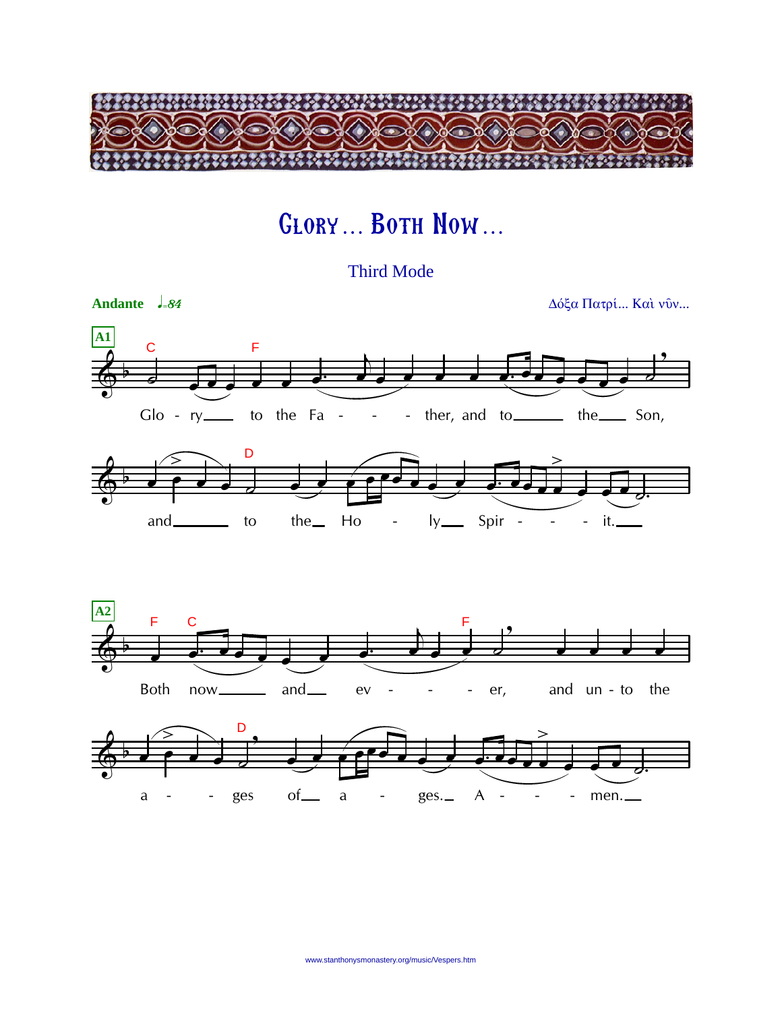

## **GLORY... BOTH NOW...**

**Third Mode** 

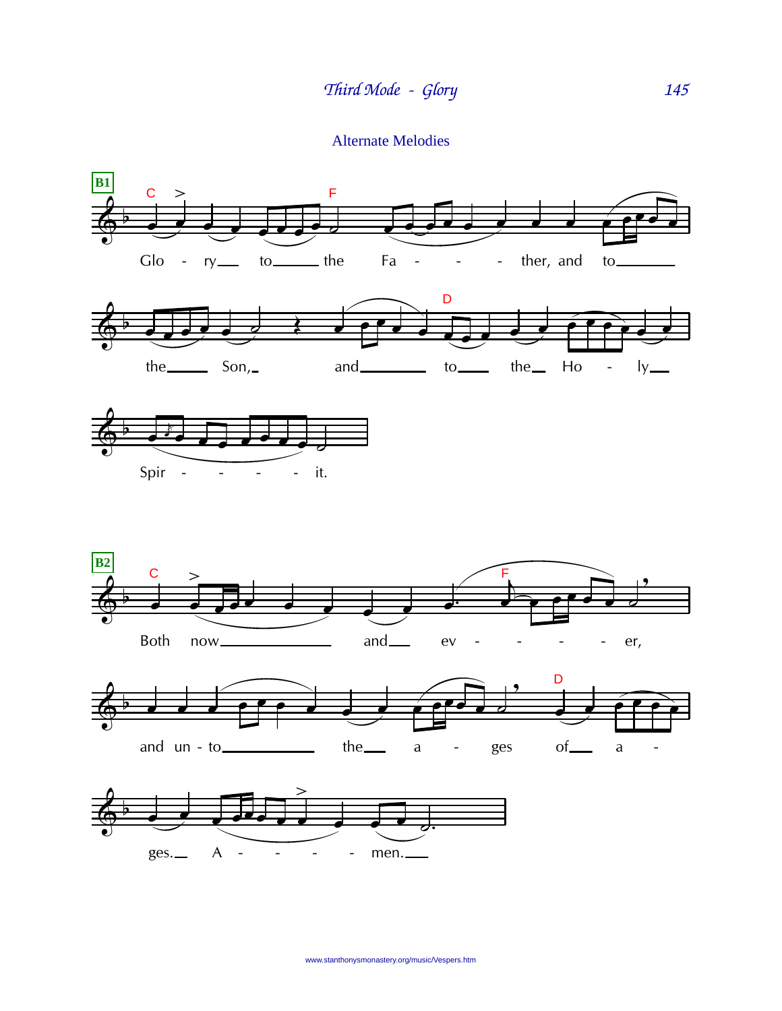